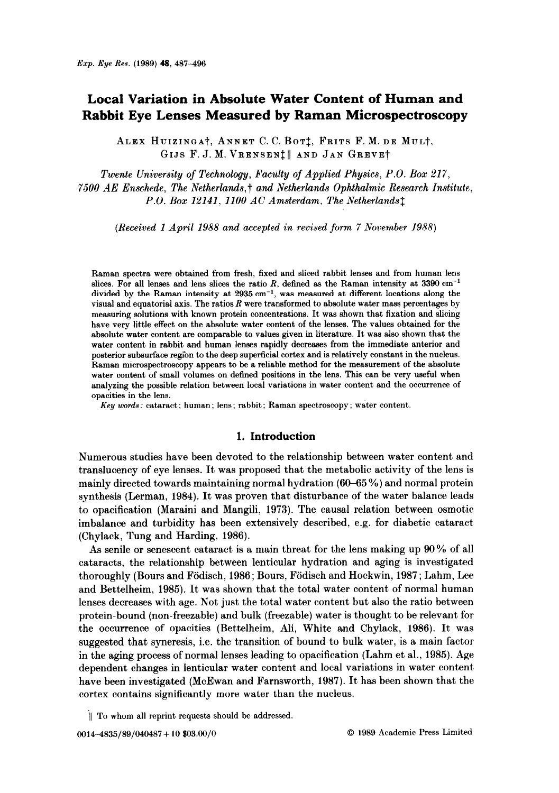# Local Variation in Absolute Water Content of Human and Rabbit Eye Lenses Measured by Raman Microspectroscopy

ALEX HUIZINGA†, ANNET C. C. BOT<sup>†</sup>, FRITS F. M. DE MUL<sup>†</sup>, GIJS F. J. M. VRENSEN<sup>†</sup> AND JAN GREVET

Twente University of Technology, Faculty of Applied Physics, P.O. Box 217, 7500 AE Enschede, The Netherlands,t and Netherlands Ophthalmic Research Institute, P.O. Box 12141, 1100 AC Amsterdam, The Netherlands<sup>†</sup>

(Received 1 April 1988 and accepted in revised form 7 November 1988)

Raman spectra were obtained from fresh, fixed and sliced rabbit lenses and from human lens slices. For all lenses and lens slices the ratio R, defined as the Raman intensity at  $3390 \text{ cm}^{-1}$ divided by the Raman intensity at  $2935 \text{ cm}^{-1}$ , was measured at different locations along the visual and equatorial axis. The ratios  $R$  were transformed to absolute water mass percentages by measuring solutions with known protein concentrations. It was shown that fixation and slicing have very little effect on the absolute water content of the lenses. The values obtained for the absolute water content are comparable to values given in literature. It was also shown that the water content in rabbit and human lenses rapidly decreases from the immediate anterior and posterior subsurface region to the deep superficial cortex and is relatively constant in the nucleus. Raman microspectroscopy appears to be a reliable method for the measurement of the absolute water content of small volumes on defined positions in the lens. This can be very useful when analyzing the possible relation between local variations in water content and the occurrence of opacities in the lens.

Key words: cataract; human ; lens ; rabbit ; Raman spectroscopy ; water content.

# 1. Introduction

Numerous studies have been devoted to the relationship between water content and translucency of eye lenses. It was proposed that the metabolic activity of the lens is mainly directed towards maintaining normal hydration  $(60-65\%)$  and normal protein synthesis (Lerman, 1984). It was proven that disturbance of the water balance leads to opacilication (Maraini and Mangili, 1973). The causal relation between osmotic imbalance and turbidity has been extensively described, e.g. for diabetic cataract (Chylack, Tung and Harding, 1986).

As senile or senescent cataract is a main threat for the lens making up 96% of all cataracts, the relationship between lenticular hydration and aging is investigated thoroughly (Bours and Födisch, 1986; Bours, Födisch and Hockwin, 1987; Lahm, Lee and Bettelheim, 1985). It was shown that the total water content of normal human lenses decreases with age. Not just the total water content but also the ratio between protein-bound (non-freezable) and bulk (freezable) water is thought to be relevant for the occurrence of opacities (Bettelheim, Ali, White and Chylack, 1986). It was suggested that syneresis, i.e. the transition of bound to bulk water, is a main factor in the aging process of normal lenses leading to opacification (Lahm et al., 1985). Age dependent changes in lenticular water content and local variations in water content have been investigated (McEwan and Farnsworth, 1987). It has been shown that the cortex contains significantly more water than the nucleus.

<sup>&#</sup>x27;11 To whom all reprint requests should be addressed.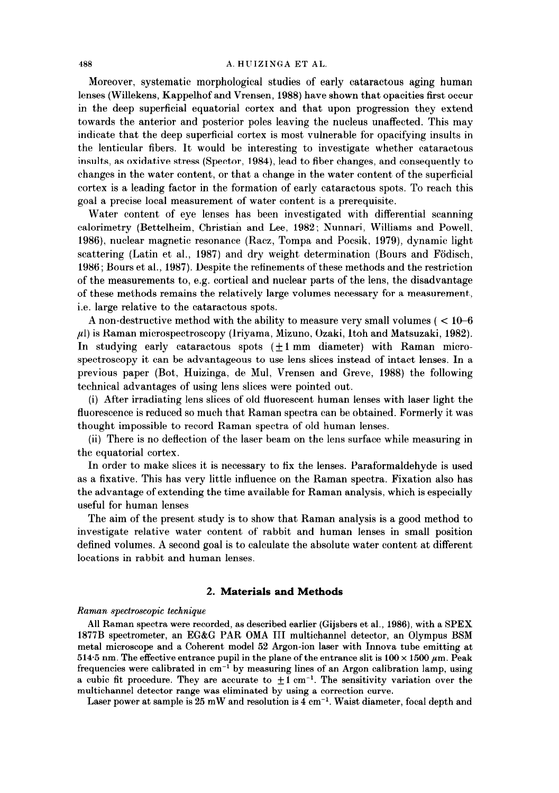#### 488 A. HUIZINGA ET AL

Moreover, systematic morphological studies of early cataractous aging human lenses (Willekens, Kappelhof and Vrensen, 1988) have shown that opacities first occur in the deep superficial equatorial cortex and that upon progression they extend towards the anterior and posterior poles leaving the nucleus unaffected. This may indicate that the deep superficial cortex is most vulnerable for opacifying insults in the lenticular fibers. It would be interesting to investigate whether cataractous insults, as oxidative stress (Spector, 1984), lead to fiber changes, and consequently to changes in the water content, or that a change in the water content of the superficial cortex is a leading factor in the formation of early cataractous spots. To reach this goal a precise local measurement of water content is a prerequisite.

Water content of eye lenses has been investigated with differential scanning calorimetry (Bettelheim, Christian and Lee, 1982; Nunnari, Williams and Powell, 1986), nuclear magnetic resonance (Racz, Tompa and Pocsik, 1979), dynamic light scattering (Latin et al., 1987) and dry weight determination (Bours and Födisch, 1986; Bours et al., 1987). Despite the refinements of these methods and the restriction of the measurements to, e.g. cortical and nuclear parts of the lens, the disadvantage of these methods remains the relatively large volumes necessary for a measurement, i.e. large relative to the cataractous spots.

A non-destructive method with the ability to measure very small volumes ( $< 10-6$ )  $\mu$ ) is Raman microspectroscopy (Iriyama, Mizuno, Ozaki, Itoh and Matsuzaki, 1982). In studying early cataractous spots  $(\pm 1 \text{ mm}$  diameter) with Raman microspectroscopy it can be advantageous to use lens slices instead of intact lenses. In a previous paper (Bot, Huizinga, de Mul, Vrensen and Greve, 1988) the following technical advantages of using lens slices were pointed out.

(i) After irradiating lens slices of old fluorescent human lenses with laser light the fluorescence is reduced so much that Raman spectra can be obtained. Formerly it was thought impossible to record Raman spectra of old human lenses.

(ii) There is no deflection of the laser beam on the lens surface while measuring in the equatorial cortex.

In order to make slices it is necessary to fix the lenses. Paraformaldehyde is used as a fixative. This has very little influence on the Raman spectra. Fixation also has the advantage of extending the time available for Raman analysis, which is especially useful for human lenses

The aim of the present study is to show that Raman analysis is a good method to investigate relative water content of rabbit and human lenses in small position defined volumes. A second goal is to calculate the absolute water content at different locations in rabbit and human lenses.

# 2. Materials and Methods

## Raman spectroscopic technique

All Raman spectra were recorded, as described earlier (Gijsbers et al., 1986), with a SPEX 1877B spectrometer, an EGkG PAR OMA III multichannel detector, an Olympus BSM metal microscope and a Coherent model 52 Argon-ion laser with Innova tube emitting at 514.5 nm. The effective entrance pupil in the plane of the entrance slit is  $100 \times 1500 \ \mu \text{m}$ . Peak frequencies were calibrated in cm-' by measuring lines of an Argon calibration lamp, using a cubic fit procedure. They are accurate to  $\pm 1$  cm<sup>-1</sup>. The sensitivity variation over the multichannel detector range was eliminated by using a correction curve.

Laser power at sample is 25 mW and resolution is  $\widetilde{4}$  cm<sup>-1</sup>. Waist diameter, focal depth and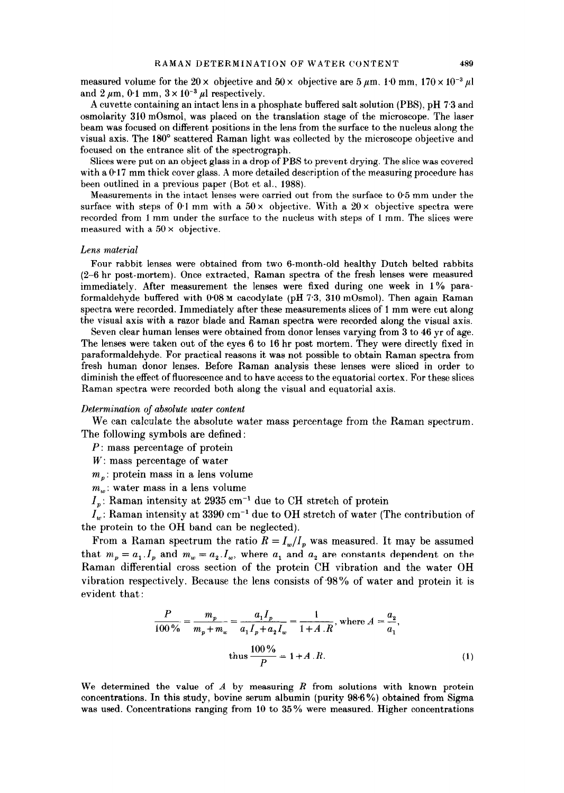measured volume for the  $20 \times$  objective and  $50 \times$  objective are  $5 \mu m$ ,  $1.0 \text{ mm}$ ,  $170 \times 10^{-3} \mu$ and 2  $\mu$ m, 0.1 mm,  $3 \times 10^{-3} \mu$  respectively.

A cuvette containing an intact lens in a phosphate buffered salt solution (PBS), pH 7.3 and osmolarity 310 mOsmo1, was placed on the translation stage of the microscope. The laser beam was focused on different positions in the lens from the surface to the nucleus along the visual axis. The 180" scattered Raman light was collected by the microscope objective and focused on the entrance slit of the spectrograph.

Slices were put on an object glass in a drop of PBS to prevent drying. The slice was covered with a  $0.17$  mm thick cover glass. A more detailed description of the measuring procedure has been outlined in a previous paper (Bot et al., 1988).

Measurements in the intact lenses were carried out from the surface to @5 mm under the surface with steps of 0.1 mm with a  $50 \times$  objective. With a  $20 \times$  objective spectra were recorded from 1 mm under the surface to the nucleus with steps of 1 mm. The slices were measured with a  $50 \times$  objective.

#### Lens material

Four rabbit lenses were obtained from two 6-month-old healthy Dutch belted rabbits (2-6 hr post-mortem). Once extracted, Raman spectra of the fresh lenses were measured immediately. After measurement the lenses were fixed during one week in 1% paraformal definition of the construction with Corporation with Constant Corporation and Theorem and The spectra were recorded. In the cordinate the theory and increase in the measurement of 1 mm were cut along the  $\frac{1}{2}$ spectra were recorded. Immediately after these measurements slices of 1 mm were cut along the visual axis with a razor blade and Raman spectra were recorded along the visual axis.

Seven clear human lenses were obtained from donor lenses varying from  $3$  to  $46$  yr of age. The lenses were taken out of the eyes  $6$  to  $16$  hr post mortem. They were directly fixed in paraformaldehyde. For practical reasons it was not possible to obtain Raman spectra from fresh human donor lenses. Before Raman analysis these lenses were sliced in order to diminish the effect of fluorescence and to have access to the equatorial cortex. For these slices Raman spectra were recorded both along the visual and equatorial axis.

## Determination of absolute water content

We can calculate the absolute water mass percentage from the Raman spectrum. The following symbols are defined:

 $P:$  mass percentage of protein

 $W:$  mass percentage of water

 $m_n$ : protein mass in a lens volume

 $m_{\nu}$ : water mass in a lens volume

 $I_p$ : Raman intensity at 2935 cm<sup>-1</sup> due to CH stretch of protein

 $I_n$ : Raman intensity at 3390 cm<sup>-1</sup> due to OH stretch of water (The contribution of the protein to the OH band can be neglected).

From a Raman spectrum the ratio  $R = I_w/I_p$  was measured. It may be assumed that  $m_p = a_1 I_p$  and  $m_w = a_2 I_w$ , where  $a_1$  and  $a_2$  are constants dependent on the Raman differential cross section of the protein CH vibration and the water OH vibration respectively. Because the lens consists of 98% of water and protein it is evident that:

$$
\frac{P}{100\%} = \frac{m_p}{m_p + m_w} = \frac{a_1 I_p}{a_1 I_p + a_2 I_w} = \frac{1}{1 + A \cdot R}, \text{ where } A = \frac{a_2}{a_1},
$$
  
thus 
$$
\frac{100\%}{P} = 1 + A \cdot R.
$$
 (1)

We determined the value of  $A$  by measuring  $R$  from solutions with known protein concentrations. In this study, bovine serum albumin (purity  $98.6\%$ ) obtained from Sigma was used. Concentrations ranging from 10 to  $35\%$  were measured. Higher concentrations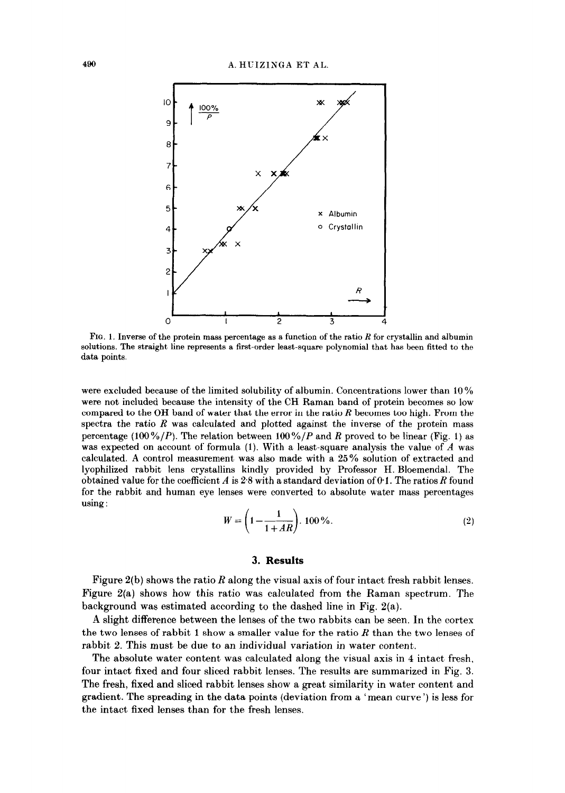

FIG. 1. Inverse of the protein mass percentage as a function of the ratio  $R$  for crystallin and albumin solutions. The straight line represents a first-order least-square polynomial that has been fitted to the data points.

were excluded because of the limited solubility of albumin. Concentrations lower than 10% were not included because the intensity of the CH Raman band of protein becomes so low compared to the OH band of water that the error in the ratio R becomes too high. From the spectra the ratio  $R$  was calculated and plotted against the inverse of the protein mass percentage (100%/P). The relation between 100%/P and R proved to be linear (Fig. 1) as was expected on account of formula (1). With a least-square analysis the value of  $A$  was calculated. A control measurement was also made with a 25% solution of extracted and lyophilized rabbit lens crystallins kindly provided by Professor H. Bloemendal. The obtained value for the coefficient  $A$  is 2.8 with a standard deviation of 0.1. The ratios  $R$  found for the rabbit and human eye lenses were converted to absolute water mass percentages using :

$$
W = \left(1 - \frac{1}{1 + AR}\right) \cdot 100\,\%
$$
\n<sup>(2)</sup>

## 3. Results

Figure  $2(b)$  shows the ratio R along the visual axis of four intact fresh rabbit lenses. Figure Z(a) shows how this ratio was calculated from the Raman spectrum. The background was estimated according to the dashed line in Fig. 2(a).

A slight difference between the lenses of the two rabbits can be seen. In the cortex the two lenses of rabbit 1 show a smaller value for the ratio  $R$  than the two lenses of rabbit 2. This must be due to an individual variation in water content.

The absolute water content was calculated along the visual axis in 4 intact fresh, four intact fixed and four sliced rabbit lenses. The results are summarized in Fig. 3. The fresh, fixed and sliced rabbit lenses show a great similarity in water content and gradient. The spreading in the data points (deviation from a 'mean curve ') is less for the intact fixed lenses than for the fresh lenses.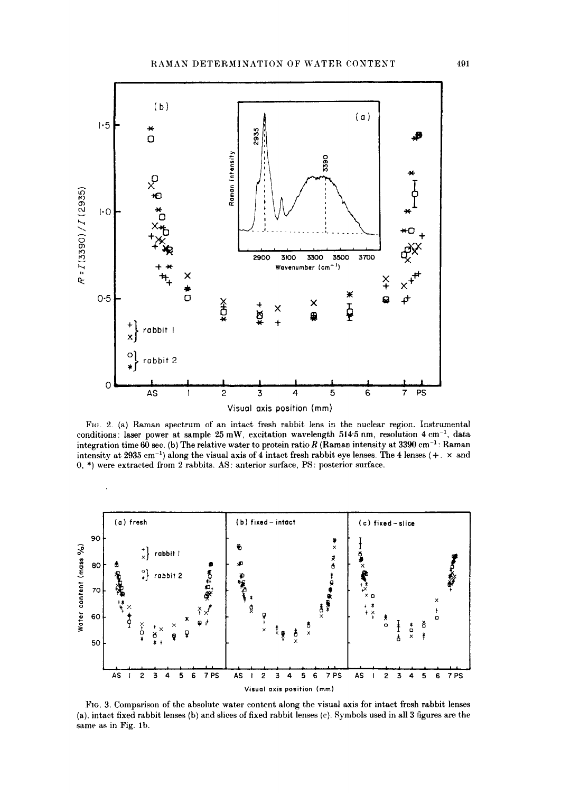

FIG. 2. (a) Raman spectrum of an intact fresh rabbit lens in the nuclear region. Instrumental conditions: laser power at sample 25 mW, excitation wavelength  $514.5$  nm, resolution  $4 \text{ cm}^{-1}$ , data integration time  $60$  sec. (b) The relative water to protein ratio R (Raman intensity at 3390 cm<sup>-1</sup>: Raman intensity at 2935 cm<sup>-1</sup>) along the visual axis of 4 intact fresh rabbit eye lenses. The 4 lenses  $(+, \times$  and 0, \*) were extracted from 2 rabbits. AS: anterior surface, PS: posterior surface.



Fig. 3. Comparison of the absolute water content along the visual axis for intact fresh rabbit lenses (a), intact fixed rabbit lenses (b) and slices of fixed rabbit lenses (c). Symbols used in all 3 figures are the same as in Fig. 1b.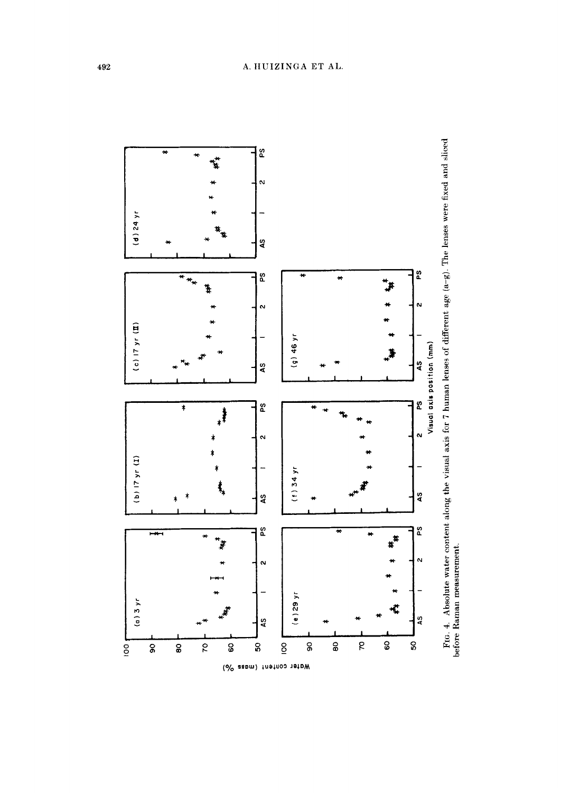

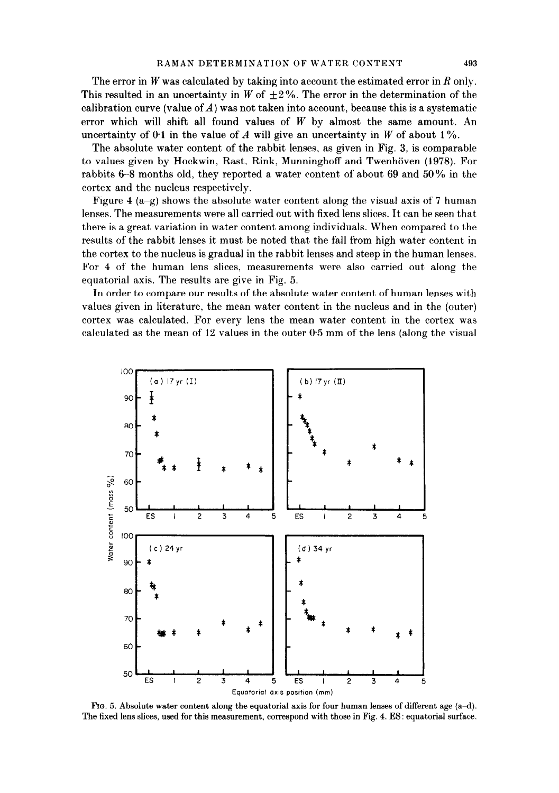The error in  $W$  was calculated by taking into account the estimated error in  $R$  only. This resulted in an uncertainty in W of  $\pm 2\%$ . The error in the determination of the calibration curve (value of  $A$ ) was not taken into account, because this is a systematic error which will shift all found values of  $W$  by almost the same amount. An uncertainty of 0.1 in the value of A will give an uncertainty in W of about 1%.

The absolute water content of the rabbit lenses, as given in Fig. 3, is comparable to values given by Hockwin, Rast, Rink, Munninghoff and Twenhöven (1978). For rabbits 6–8 months old, they reported a water content of about 69 and 50% in the cortex and the nucleus respectively.

Figure 4 (a-g) shows the absolute water content along the visual axis of 7 human lenses. The measurements were all carried out with fixed lens slices. It can be seen that there is a great variation in water content among individuals. When compared to the results of the rabbit lenses it must be noted that the fall from high water content in the cortex to the nucleus is gradual in the rabbit lenses and steep in the human lenses. For 4 of the human lens slices, measurements were also carried out along the equatorial axis. The results are give in Fig. 5.

In order to compare our results of the absolute water content of human lenses with values given in literature, the mean water content in the nucleus and in the (outer) cortex was calculated. For every lens the mean water content in the cortex was calculated as the mean of  $12$  values in the outer  $0.5$  mm of the lens (along the visual



FIG. 5. Absolute water content along the equatorial axis for four human lenses of different age  $(a-d)$ . The fixed lens slices, used for this measurement, correspond with those in Fig. 4. ES: equatorial surface.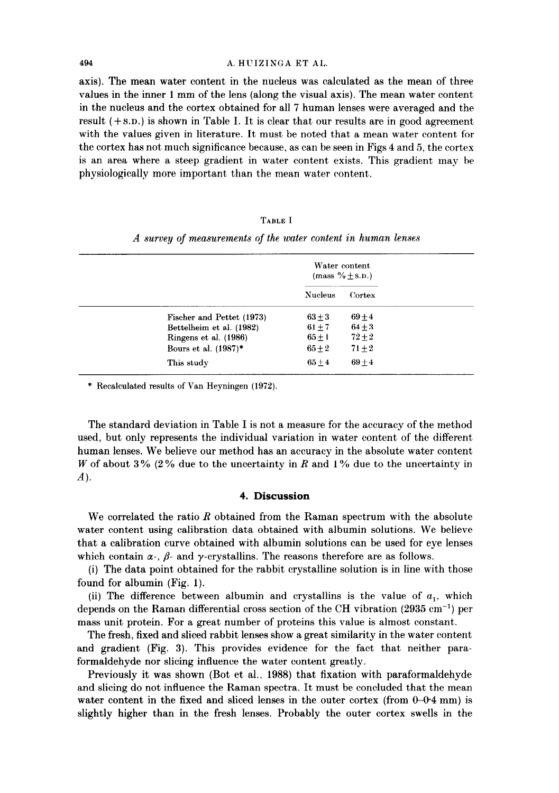#### 494 A. HUIZINGA ET AL.

axis). The mean water content in the nucleus was calculated as the mean of three values in the inner 1 mm of the lens (along the visual axis). The mean water content in the nucleus and the cortex obtained for all 7 human lenses were averaged and the result  $(+ s.n.)$  is shown in Table I. It is clear that our results are in good agreement with the values given in literature. It must be noted that a mean water content for the cortex has not much significance because, as can be seen in Figs 4 and 5, the cortex is an area where a steep gradient in water content exists. This gradient may be physiologically more important than the mean water content.

|  |                                                               | 'TABLE I |  |  |  |
|--|---------------------------------------------------------------|----------|--|--|--|
|  | A survey of measurements of the water content in human lenses |          |  |  |  |

|                           | Water content<br>$(mass \% \pm s.n.)$ |          |
|---------------------------|---------------------------------------|----------|
|                           | <b>Nucleus</b>                        | Cortex   |
| Fischer and Pettet (1973) | $63 + 3$                              | $69 + 4$ |
| Bettelheim et al. (1982)  | $61 \pm 7$                            | $64\pm3$ |
| Ringens et al. (1986)     | $65 \pm 1$                            | $72 + 2$ |
| Bours et al. (1987)*      | $65 \pm 2$                            | $71 + 2$ |
| This study                | $65 + 4$                              | $69 + 4$ |

\* Recalculated results of Van Heyningen (1972).

The standard deviation in Table I is not a measure for the accuracy of the method used, but only represents the individual variation in water content of the different human lenses. We believe our method has an accuracy in the absolute water content W of about 3% (2% due to the uncertainty in R and 1% due to the uncertainty in A).

# 4. Discussion

We correlated the ratio  $R$  obtained from the Raman spectrum with the absolute water content using calibration data obtained with albumin solutions. We believe that a calibration curve obtained with albumin solutions can be used for eye lenses which contain  $\alpha$ -,  $\beta$ - and y-crystallins. The reasons therefore are as follows.

(i) The data point obtained for the rabbit crystalline solution is in line with those found for albumin (Fig. 1).

(ii) The difference between albumin and crystallins is the value of  $a_1$ , which depends on the Raman differential cross section of the CH vibration  $(2935 \text{ cm}^{-1})$  per mass unit protein. For a great number of proteins this value is almost constant.

The fresh, fixed and sliced rabbit lenses show a great similarity in the water content and gradient (Fig. 3). This provides evidence for the fact that neither paraformaldehyde nor slicing influence the water content greatly.

Previously it was shown (Bot et al., 1988) that fixation with paraformaldehyde and slicing do not influence the Raman spectra. It must be concluded that the mean water content in the fixed and sliced lenses in the outer cortex (from  $0-0.4$  mm) is slightly higher than in the fresh lenses. Probably the outer cortex swells in the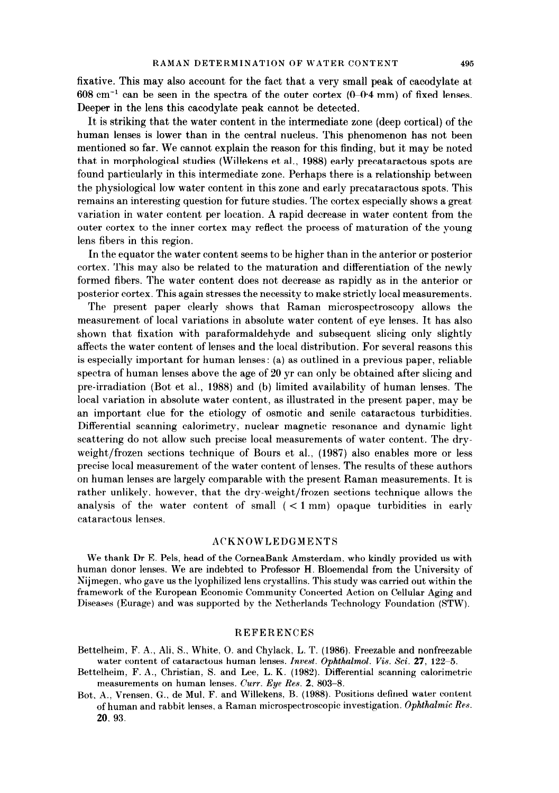fixative. This may also account for the fact that a very small peak of cacodylate at  $608 \text{ cm}^{-1}$  can be seen in the spectra of the outer cortex  $(0-0.4 \text{ mm})$  of fixed lenses. Deeper in the lens this cacodylate peak cannot be detected.

It is striking that the water content in the intermediate zone (deep cortical) of the human lenses is lower than in the central nucleus. This phenomenon has not been mentioned so far. We cannot explain the reason for this finding, but it may be noted that in morphological studies (Willekens et al., 1988) early precataractous spots are found particularly in this intermediate zone. Perhaps there is a relationship between the physiological low water content in this zone and early precataractous spots. This remains an interesting question for future studies. The cortex especially shows a great variation in water content per location. A rapid decrease in water content from the outer cortex to the inner cortex may reflect the process of maturation of the young lens fibers in this region.

In the equator the water content seems to be higher than in the anterior or posterior cortex. This may also be related to the maturation and differentiation of the newly formed fibers. The water content does not decrease as rapidly as in the anterior or posterior cortex. This again stresses the necessity to make strictly local measurements.

The present paper clearly shows that Raman microspectroscopy allows the measurement of local variations in absolute water content of eye lenses. It has also shown that fixation with paraformaldehyde and subsequent slicing only slightly affects the water content of lenses and the local distribution. For several reasons this is especially important for human lenses: (a) as outlined in a previous paper, reliable spectra of human lenses above the age of 20 yr can only be obtained after slicing and pre-irradiation (Bot et al., 1988) and (b) limited availability of human lenses. The local variation in absolute water content, as illustrated in the present paper, may be an important clue for the etiology of osmotic and senile cataractous turbidities. Differential scanning calorimetry, nuclear magnetic resonance and dynamic light scattering do not allow such precise local measurements of water content. The dryweight/frozen sections technique of Bours et al.. (1987) also enables more or less precise local measurement of the water content of lenses. The results of these authors on human lenses are largely comparable with the present Raman measurements. It is rather unlikely, however, that the dry-weight/frozen sections technique allows the analysis of the water content of small  $( $1 \text{ mm}$ ) opaque turbidities in early$ cataractous lenses.

# **ACKNOWLEDGMENTS**

We thank Dr E. Pels, head of the CorneaBank Amsterdam. who kindly provided us with human donor lenses. We are indebted to Professor H. Bloemendal from the University of Nijmegen. who gave us the lyophilized lens crystallins. This study was carried out within the framework of the European Economic Community Concerted Action on Cellular Aging and Diseases (Eurage) and was supported by the Netherlands Technology Foundation (STW).

#### REFERENCES

- Bettelheim, F. A., Ali, S., White. 0. and Chylack. L. T. (1986). Freezable and nonfreezable water content of cataractous human lenses. Invest. Ophthalmol. Vis. Sci.  $27$ , 122-5.
- Bettelheim, F. A., Christian, S. and Lee, L. K. (1982). Differential scanning calorimetric measurements on human lenses. Curr. Eye Res. 2. 803-8.
- Bot. A., Vrensen, G., de Mul. F. and Willekens, B. (1988). Positions defined water content of human and rabbit lenses, a Raman microspectroscopic investigation. Ophthalmic Res. 20. 93.